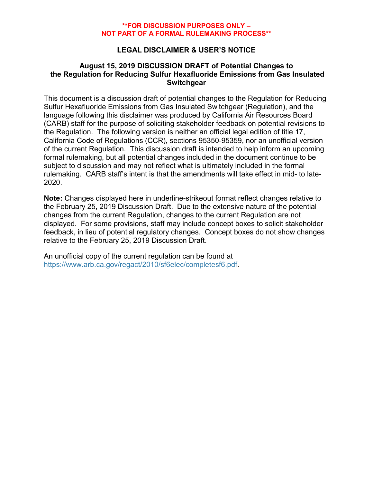## **LEGAL DISCLAIMER & USER'S NOTICE**

### **August 15, 2019 DISCUSSION DRAFT of Potential Changes to the Regulation for Reducing Sulfur Hexafluoride Emissions from Gas Insulated Switchgear**

This document is a discussion draft of potential changes to the Regulation for Reducing Sulfur Hexafluoride Emissions from Gas Insulated Switchgear (Regulation), and the language following this disclaimer was produced by California Air Resources Board (CARB) staff for the purpose of soliciting stakeholder feedback on potential revisions to the Regulation. The following version is neither an official legal edition of title 17, California Code of Regulations (CCR), sections 95350-95359, nor an unofficial version of the current Regulation. This discussion draft is intended to help inform an upcoming formal rulemaking, but all potential changes included in the document continue to be subject to discussion and may not reflect what is ultimately included in the formal rulemaking. CARB staff's intent is that the amendments will take effect in mid- to late-2020.

**Note:** Changes displayed here in underline-strikeout format reflect changes relative to the February 25, 2019 Discussion Draft. Due to the extensive nature of the potential changes from the current Regulation, changes to the current Regulation are not displayed. For some provisions, staff may include concept boxes to solicit stakeholder feedback, in lieu of potential regulatory changes. Concept boxes do not show changes relative to the February 25, 2019 Discussion Draft.

An unofficial copy of the current regulation can be found at [https://www.arb.ca.gov/regact/2010/sf6elec/completesf6.pdf.](https://www.arb.ca.gov/regact/2010/sf6elec/completesf6.pdf?)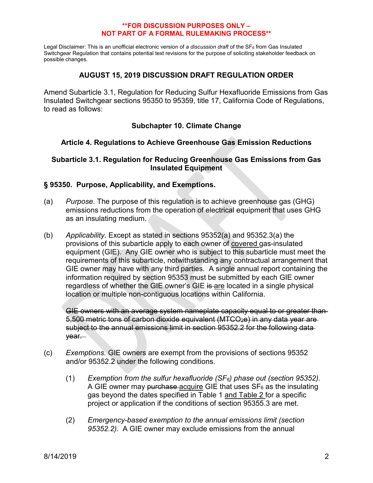Legal Disclaimer: This is an unofficial electronic version of *a discussion draft* of the SF<sub>6</sub> from Gas Insulated Switchgear Regulation that contains potential text revisions for the purpose of soliciting stakeholder feedback on possible changes.

# **AUGUST 15, 2019 DISCUSSION DRAFT REGULATION ORDER**

Amend Subarticle 3.1, Regulation for Reducing Sulfur Hexafluoride Emissions from Gas Insulated Switchgear sections 95350 to 95359, title 17, California Code of Regulations, to read as follows:

# **Subchapter 10. Climate Change**

## **Article 4. Regulations to Achieve Greenhouse Gas Emission Reductions**

## **Subarticle 3.1. Regulation for Reducing Greenhouse Gas Emissions from Gas Insulated Equipment**

## **§ 95350. Purpose, Applicability, and Exemptions.**

- (a) *Purpose*. The purpose of this regulation is to achieve greenhouse gas (GHG) emissions reductions from the operation of electrical equipment that uses GHG as an insulating medium.
- (b) *Applicability.* Except as stated in sections 95352(a) and 95352.3(a) the provisions of this subarticle apply to each owner of covered gas-insulated equipment (GIE). Any GIE owner who is subject to this subarticle must meet the requirements of this subarticle, notwithstanding any contractual arrangement that GIE owner may have with any third parties. A single annual report containing the information required by section 95353 must be submitted by each GIE owner regardless of whether the GIE owner's GIE is are located in a single physical location or multiple non-contiguous locations within California.

GIE owners with an average system nameplate capacity equal to or greater than-5,500 metric tons of carbon dioxide equivalent (MTCO<sub>2</sub>e) in any data year are subject to the annual emissions limit in section 95352.2 for the following data year.

- (c) *Exemptions.* GIE owners are exempt from the provisions of sections 95352 and/or 95352.2 under the following conditions.
	- (1) *Exemption from the sulfur hexafluoride (SF6) phase out (section 95352).*  A GIE owner may purchase acquire GIE that uses  $SF<sub>6</sub>$  as the insulating gas beyond the dates specified in Table 1 and Table 2 for a specific project or application if the conditions of section 95355.3 are met.
	- (2) *Emergency-based exemption to the annual emissions limit (section 95352.2).* A GIE owner may exclude emissions from the annual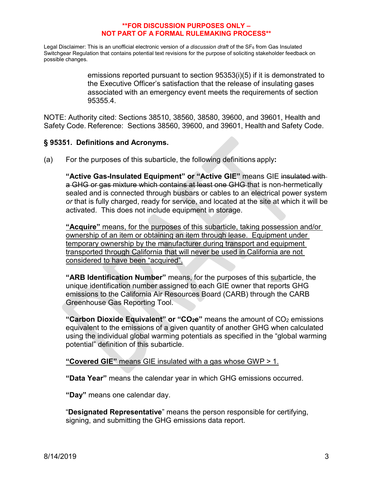Legal Disclaimer: This is an unofficial electronic version of *a discussion draft* of the SF<sub>6</sub> from Gas Insulated Switchgear Regulation that contains potential text revisions for the purpose of soliciting stakeholder feedback on possible changes.

> emissions reported pursuant to section 95353(i)(5) if it is demonstrated to the Executive Officer's satisfaction that the release of insulating gases associated with an emergency event meets the requirements of section 95355.4.

NOTE: Authority cited: Sections 38510, 38560, 38580, 39600, and 39601, Health and Safety Code. Reference: Sections 38560, 39600, and 39601, Health and Safety Code.

# **§ 95351. Definitions and Acronyms.**

(a) For the purposes of this subarticle, the following definitions apply**:**

**"Active Gas-Insulated Equipment" or "Active GIE"** means GIE insulated with a GHG or gas mixture which contains at least one GHG that is non-hermetically sealed and is connected through busbars or cables to an electrical power system *or* that is fully charged, ready for service, and located at the site at which it will be activated. This does not include equipment in storage.

**"Acquire"** means, for the purposes of this subarticle, taking possession and/or ownership of an item or obtaining an item through lease. Equipment under temporary ownership by the manufacturer during transport and equipment transported through California that will never be used in California are not considered to have been "acquired".

**"ARB Identification Number"** means, for the purposes of this subarticle, the unique identification number assigned to each GIE owner that reports GHG emissions to the California Air Resources Board (CARB) through the CARB Greenhouse Gas Reporting Tool.

**"Carbon Dioxide Equivalent" or "CO<sub>2</sub>e"** means the amount of CO<sub>2</sub> emissions equivalent to the emissions of a given quantity of another GHG when calculated using the individual global warming potentials as specified in the "global warming potential" definition of this subarticle.

**"Covered GIE"** means GIE insulated with a gas whose GWP > 1.

**"Data Year"** means the calendar year in which GHG emissions occurred.

**"Day"** means one calendar day.

"**Designated Representative**" means the person responsible for certifying, signing, and submitting the GHG emissions data report.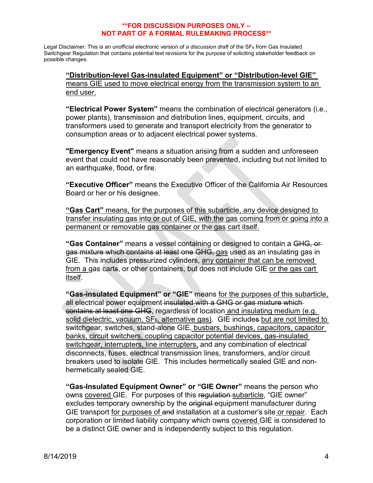Legal Disclaimer: This is an unofficial electronic version of *a discussion draft* of the SF<sub>6</sub> from Gas Insulated Switchgear Regulation that contains potential text revisions for the purpose of soliciting stakeholder feedback on possible changes.

**"Distribution-level Gas-insulated Equipment" or "Distribution-level GIE"** means GIE used to move electrical energy from the transmission system to an end user.

**"Electrical Power System"** means the combination of electrical generators (i.e., power plants), transmission and distribution lines, equipment, circuits, and transformers used to generate and transport electricity from the generator to consumption areas or to adjacent electrical power systems.

**"Emergency Event"** means a situation arising from a sudden and unforeseen event that could not have reasonably been prevented, including but not limited to an earthquake, flood, orfire.

**"Executive Officer"** means the Executive Officer of the California Air Resources Board or her or his designee.

**"Gas Cart"** means, for the purposes of this subarticle, any device designed to transfer insulating gas into or out of GIE, with the gas coming from or going into a permanent or removable gas container or the gas cart itself.

**"Gas Container"** means a vessel containing or designed to contain a GHG, or gas mixture which contains at least one GHG, gas used as an insulating gas in GIE. This includes pressurized cylinders, any container that can be removed from a gas carts, or other containers, but does not include GIE or the gas cart itself.

**"Gas-insulated Equipment" or "GIE"** means for the purposes of this subarticle, all electrical power equipment-insulated with a GHG or gas mixture whichcontains at least one GHG, regardless of location and insulating medium (e.g. solid dielectric, vacuum,  $SF<sub>6</sub>$ , alternative gas). GIE includes but are not limited to switchgear, switches, stand-alone GIE, busbars, bushings, capacitors, capacitor banks, circuit switchers, coupling capacitor potential devices, gas-insulated switchgear, interrupters, line interrupters, and any combination of electrical disconnects, fuses, electrical transmission lines, transformers, and/or circuit breakers used to isolate GIE. This includes hermetically sealed GIE and nonhermetically sealed GIE.

**"Gas-Insulated Equipment Owner" or "GIE Owner"** means the person who owns covered GIE. For purposes of this regulation subarticle, "GIE owner" excludes temporary ownership by the eriginal equipment manufacturer during GIE transport for purposes of and installation at a customer's site or repair. Each corporation or limited liability company which owns covered GIE is considered to be a distinct GIE owner and is independently subject to this regulation.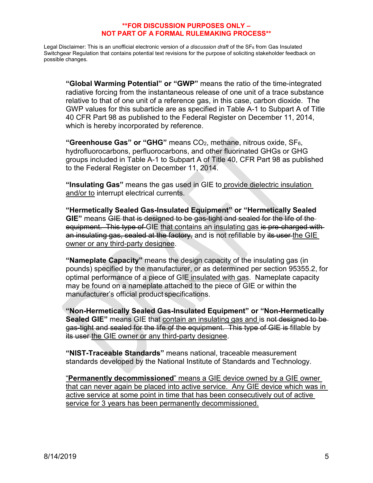Legal Disclaimer: This is an unofficial electronic version of *a discussion draft* of the SF<sub>6</sub> from Gas Insulated Switchgear Regulation that contains potential text revisions for the purpose of soliciting stakeholder feedback on possible changes.

**"Global Warming Potential" or "GWP"** means the ratio of the time-integrated radiative forcing from the instantaneous release of one unit of a trace substance relative to that of one unit of a reference gas, in this case, carbon dioxide. The GWP values for this subarticle are as specified in Table A-1 to Subpart A of Title 40 CFR Part 98 as published to the Federal Register on December 11, 2014, which is hereby incorporated by reference.

**"Greenhouse Gas" or "GHG"** means CO2, methane, nitrous oxide, SF6, hydrofluorocarbons, perfluorocarbons, and other fluorinated GHGs or GHG groups included in Table A-1 to Subpart A of Title 40, CFR Part 98 as published to the Federal Register on December 11, 2014.

**"Insulating Gas"** means the gas used in GIE to provide dielectric insulation and/or to interrupt electrical currents.

**"Hermetically Sealed Gas-Insulated Equipment" or "Hermetically Sealed GIE"** means GIE that is designed to be gas-tight and sealed for the life of the equipment. This type of GIE that contains an insulating gas is pre-charged withan insulating gas, sealed at the factory, and is not refillable by its user the GIE owner or any third-party designee.

**"Nameplate Capacity"** means the design capacity of the insulating gas (in pounds) specified by the manufacturer, or as determined per section 95355.2, for optimal performance of a piece of GIE insulated with gas. Nameplate capacity may be found on a nameplate attached to the piece of GIE or within the manufacturer's official product specifications.

**"Non-Hermetically Sealed Gas-Insulated Equipment" or "Non-Hermetically Sealed GIE**" means GIE that contain an insulating gas and is not designed to be gas-tight and sealed for the life of the equipment. This type of GIE is fillable by its user the GIE owner or any third-party designee.

**"NIST-Traceable Standards"** means national, traceable measurement standards developed by the National Institute of Standards and Technology.

"**Permanently decommissioned**" means a GIE device owned by a GIE owner that can never again be placed into active service. Any GIE device which was in active service at some point in time that has been consecutively out of active service for 3 years has been permanently decommissioned.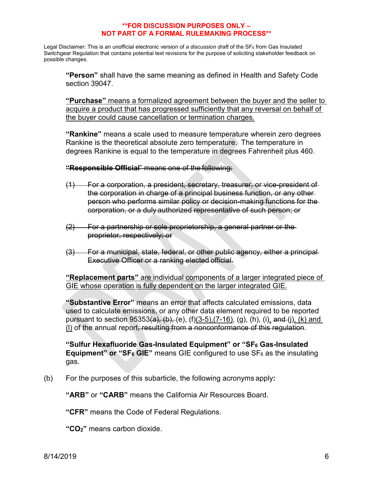Legal Disclaimer: This is an unofficial electronic version of *a discussion draft* of the SF<sub>6</sub> from Gas Insulated Switchgear Regulation that contains potential text revisions for the purpose of soliciting stakeholder feedback on possible changes.

**"Person"** shall have the same meaning as defined in Health and Safety Code section 39047.

**"Purchase"** means a formalized agreement between the buyer and the seller to acquire a product that has progressed sufficiently that any reversal on behalf of the buyer could cause cancellation or termination charges.

**"Rankine"** means a scale used to measure temperature wherein zero degrees Rankine is the theoretical absolute zero temperature. The temperature in degrees Rankine is equal to the temperature in degrees Fahrenheit plus 460.

**"Responsible Official**" means one of the following:

- (1) For a corporation, a president, secretary, treasurer, or vice-president of the corporation in charge of a principal business function, or any otherperson who performs similar policy or decision-making functions for the corporation, or a duly authorized representative of such person; or
- (2) For a partnership or sole proprietorship, a general partner or the proprietor, respectively; or
- (3) For a municipal, state, federal, or other public agency, either a principal Executive Officer or a ranking elected official.

**"Replacement parts"** are individual components of a larger integrated piece of GIE whose operation is fully dependent on the larger integrated GIE.

**"Substantive Error"** means an error that affects calculated emissions, data used to calculate emissions, or any other data element required to be reported pursuant to section  $95353(a)$ , (b), (e), (f)(3-5),(7-16), (g), (h), (i), and (j), (k) and (l) of the annual report, resulting from a nonconformance of this regulation.

**"Sulfur Hexafluoride Gas-Insulated Equipment" or "SF6 Gas-Insulated Equipment" or "SF** $_6$  **GIE"** means GIE configured to use  $SF_6$  as the insulating gas.

(b) For the purposes of this subarticle, the following acronyms apply**:**

**"ARB"** or **"CARB"** means the California Air Resources Board.

**"CFR"** means the Code of Federal Regulations.

**"CO2"** means carbon dioxide.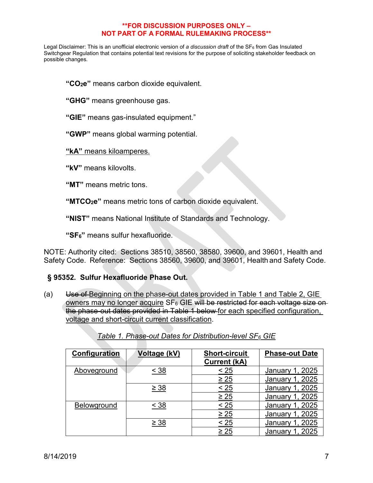Legal Disclaimer: This is an unofficial electronic version of *a discussion draft* of the SF<sub>6</sub> from Gas Insulated Switchgear Regulation that contains potential text revisions for the purpose of soliciting stakeholder feedback on possible changes.

**"CO2e"** means carbon dioxide equivalent.

**"GHG"** means greenhouse gas.

**"GIE"** means gas-insulated equipment."

**"GWP"** means global warming potential.

**"kA"** means kiloamperes.

**"kV"** means kilovolts.

**"MT"** means metric tons.

**"MTCO2e"** means metric tons of carbon dioxide equivalent.

**"NIST"** means National Institute of Standards and Technology.

**"SF6"** means sulfur hexafluoride.

NOTE: Authority cited: Sections 38510, 38560, 38580, 39600, and 39601, Health and Safety Code. Reference: Sections 38560, 39600, and 39601, Health and Safety Code.

## **§ 95352. Sulfur Hexafluoride Phase Out.**

(a) Use of Beginning on the phase-out dates provided in Table 1 and Table 2, GIE owners may no longer acquire SF<sub>6</sub> GIE will be restricted for each voltage size onthe phase-out dates provided in Table 1 below for each specified configuration, voltage and short-circuit current classification.

| Configuration      | Voltage (kV) | <b>Short-circuit</b><br><b>Current (kA)</b> | <b>Phase-out Date</b> |
|--------------------|--------------|---------------------------------------------|-----------------------|
| Aboveground        | $<$ 38       | $\leq 25$                                   | , 2025<br>January 1   |
|                    |              | $\geq 25$                                   | January 1, 2025       |
|                    | $\geq 38$    | < 25                                        | January 1, 2025       |
|                    |              | $\geq 25$                                   | January 1, 2025       |
| <b>Belowground</b> | < 38         | < 25                                        | January 1, 2025       |
|                    |              | $\geq 25$                                   | January 1, 2025       |
|                    | $\geq 38$    | < 25                                        | January 1, 2025       |
|                    |              | $\geq 25$                                   | 2025<br>January 1     |

*Table 1. Phase-out Dates for Distribution-level SF6 GIE*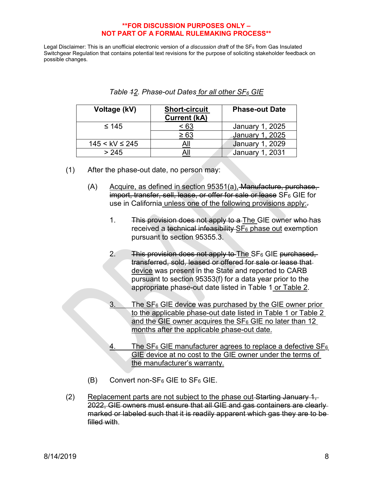| Voltage (kV)          | <b>Short-circuit</b><br><b>Current (kA)</b> | <b>Phase-out Date</b>  |  |  |
|-----------------------|---------------------------------------------|------------------------|--|--|
| $\leq 145$            | - 63                                        | January 1, 2025        |  |  |
|                       | $\ge 63$                                    | <b>January 1, 2025</b> |  |  |
| $145 <$ kV $\leq$ 245 |                                             | <b>January 1, 2029</b> |  |  |
| > 245                 |                                             | <b>January 1, 2031</b> |  |  |

| Table 42. Phase-out Dates for all other SF <sub>6</sub> GIE |  |
|-------------------------------------------------------------|--|
|-------------------------------------------------------------|--|

- (1) After the phase-out date, no person may:
	- (A) Acquire, as defined in section 95351(a), Manufacture, purchase, import, transfer, sell, lease, or offer for sale or lease SF6 GIE for use in California unless one of the following provisions apply:-
		- 1. This provision does not apply to a The GIE owner who has received a technical infeasibility SF<sub>6</sub> phase out exemption pursuant to section 95355.3.
		- 2. This provision does not apply to The  $SF_6$  GIE purchased, transferred, sold, leased or offered for sale or lease that device was present in the State and reported to CARB pursuant to section 95353(f) for a data year prior to the appropriate phase-out date listed in Table 1 or Table 2.
		- The  $SF<sub>6</sub>$  GIE device was purchased by the GIE owner prior to the applicable phase-out date listed in Table 1 or Table 2 and the GIE owner acquires the  $SF_6$  GIE no later than 12 months after the applicable phase-out date.
		- 4. The  $SF_6$  GIE manufacturer agrees to replace a defective  $SF_6$ GIE device at no cost to the GIE owner under the terms of the manufacturer's warranty.
	- $(B)$  Convert non-SF<sub>6</sub> GIE to SF<sub>6</sub> GIE.
- (2) Replacement parts are not subject to the phase out Starting January 1, 2022, GIE owners must ensure that all GIE and gas containers are clearly marked or labeled such that it is readily apparent which gas they are to be filled with.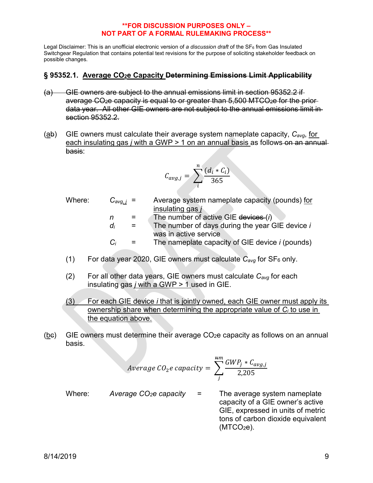Legal Disclaimer: This is an unofficial electronic version of *a discussion draft* of the SF<sub>6</sub> from Gas Insulated Switchgear Regulation that contains potential text revisions for the purpose of soliciting stakeholder feedback on possible changes.

# **§ 95352.1. Average CO2e Capacity Determining Emissions Limit Applicability**

- (a) GIE owners are subject to the annual emissions limit in section 95352.2 if average CO<sub>2</sub>e capacity is equal to or greater than 5,500 MTCO<sub>2</sub>e for the priordata year. All other GIE owners are not subject to the annual emissions limit in section 95352.2.
- (ab) GIE owners must calculate their average system nameplate capacity, *Cavg*, for each insulating gas *j* with a GWP > 1 on an annual basis as follows on an annual basis:

$$
C_{avg,j} = \sum_{i}^{n} \frac{(d_i * C_i)}{365}
$$

- Where: *C<sub>avg, j</sub>* = Average system nameplate capacity (pounds) for insulating gas *j*
	- *n* = The number of active GIE devices (*i*)

$$
d_i =
$$
 The number of days during the year GIE device *i*  
was in active service

 *Ci* = The nameplate capacity of GIE device *i* (pounds)

- (1) For data year 2020, GIE owners must calculate  $C_{\text{avg}}$  for  $SF_6$  only.
- (2) For all other data years, GIE owners must calculate *Cavg* for each insulating gas *j* with a GWP > 1 used in GIE.
- (3) For each GIE device *i* that is jointly owned, each GIE owner must apply its ownership share when determining the appropriate value of *Ci* to use in the equation above.
- $(be)$  GIE owners must determine their average CO<sub>2</sub>e capacity as follows on an annual basis.

$$
Average\ CO_2e\ capacity = \sum_{j}^{nm} \frac{GWP_j * C_{avg,j}}{2,205}
$$

Where: Average CO<sub>2</sub>e capacity = The average system nameplate capacity of a GIE owner's active GIE, expressed in units of metric tons of carbon dioxide equivalent  $(MTCO<sub>2</sub>e)$ .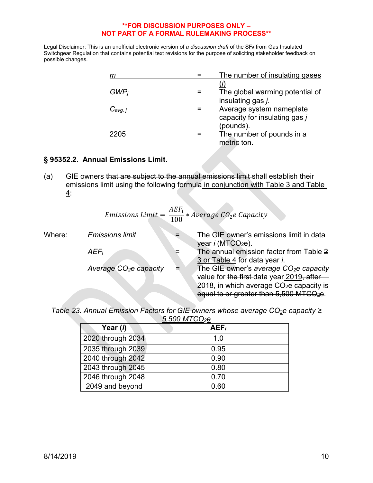Legal Disclaimer: This is an unofficial electronic version of *a discussion draft* of the SF6 from Gas Insulated Switchgear Regulation that contains potential text revisions for the purpose of soliciting stakeholder feedback on possible changes.

| m            | The number of insulating gases                                         |
|--------------|------------------------------------------------------------------------|
| $GWP_i$      | The global warming potential of<br>insulating gas j.                   |
| $C_{avg, j}$ | Average system nameplate<br>capacity for insulating gas j<br>(pounds). |
| 2205         | The number of pounds in a<br>metric ton.                               |

# **§ 95352.2. Annual Emissions Limit.**

(a) GIE owners that are subject to the annual emissions limit shall establish their emissions limit using the following formula in conjunction with Table 3 and Table 4:

*Emissions Limit* = 
$$
\frac{AEF_i}{100} * Average CO_2e Capacity
$$

| Where: | <b>Emissions limit</b>  | The GIE owner's emissions limit in data<br>year i (MTCO <sub>2</sub> e). |
|--------|-------------------------|--------------------------------------------------------------------------|
|        |                         |                                                                          |
|        | <b>AEF</b> i            | The annual emission factor from Table 2                                  |
|        |                         | 3 or Table 4 for data year i.                                            |
|        | Average $CO2e$ capacity | The GIE owner's average CO <sub>2</sub> e capacity                       |
|        |                         | value for the first data year 2019, after                                |
|        |                         | 2018, in which average CO <sub>2</sub> e capacity is                     |
|        |                         | equal to or greater than 5,500 MTCO <sub>2</sub> e.                      |
|        |                         |                                                                          |

| Table 23. Annual Emission Factors for GIE owners whose average $CO2$ e capacity $\geq$ |  |  |                     |  |  |  |
|----------------------------------------------------------------------------------------|--|--|---------------------|--|--|--|
|                                                                                        |  |  | $E$ FOO MTCO $\sim$ |  |  |  |

| 5,500 MTCO <sub>2</sub> e |                  |  |  |  |
|---------------------------|------------------|--|--|--|
| Year (i)                  | AEF <sub>i</sub> |  |  |  |
| 2020 through 2034         | 1.0              |  |  |  |
| 2035 through 2039         | 0.95             |  |  |  |
| 2040 through 2042         | 0.90             |  |  |  |
| 2043 through 2045         | 0.80             |  |  |  |
| 2046 through 2048         | 0.70             |  |  |  |
| 2049 and beyond           | 0.60             |  |  |  |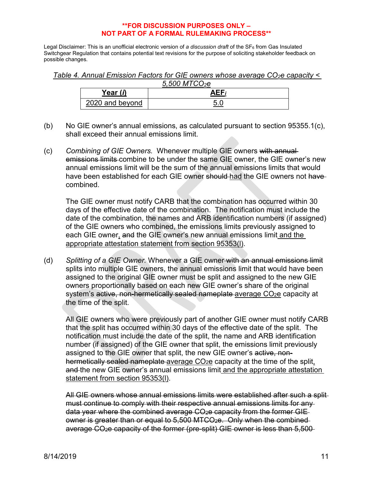Legal Disclaimer: This is an unofficial electronic version of *a discussion draft* of the SF<sub>6</sub> from Gas Insulated Switchgear Regulation that contains potential text revisions for the purpose of soliciting stakeholder feedback on possible changes.

*Table 4. Annual Emission Factors for GIE owners whose average CO2e capacity < 5,500 MTCO2e*

| $3,000$ MIT CO <sub>2</sub> C |            |  |  |  |
|-------------------------------|------------|--|--|--|
| Year (i)                      | <b>AEF</b> |  |  |  |
| 2020 and beyond               |            |  |  |  |

- (b) No GIE owner's annual emissions, as calculated pursuant to section  $95355.1(c)$ , shall exceed their annual emissions limit.
- (c) *Combining of GIE Owners.* Whenever multiple GIE owners with annual emissions limits combine to be under the same GIE owner, the GIE owner's new annual emissions limit will be the sum of the annual emissions limits that would have been established for each GIE owner should had the GIE owners not have combined.

The GIE owner must notify CARB that the combination has occurred within 30 days of the effective date of the combination. The notification must include the date of the combination, the names and ARB identification numbers (if assigned) of the GIE owners who combined, the emissions limits previously assigned to each GIE owner, and the GIE owner's new annual emissions limit and the appropriate attestation statement from section 95353(l).

(d) *Splitting of a GIE Owner.* Whenever a GIE owner with an annual emissions limit splits into multiple GIE owners, the annual emissions limit that would have been assigned to the original GIE owner must be split and assigned to the new GIE owners proportionally based on each new GIE owner's share of the original system's active, non-hermetically sealed nameplate average CO<sub>2</sub>e capacity at the time of the split.

All GIE owners who were previously part of another GIE owner must notify CARB that the split has occurred within 30 days of the effective date of the split. The notification must include the date of the split, the name and ARB identification number (if assigned) of the GIE owner that split, the emissions limit previously assigned to the GIE owner that split, the new GIE owner's active, nonhermetically sealed nameplate average CO<sub>2</sub>e capacity at the time of the split, and the new GIE owner's annual emissions limit and the appropriate attestation statement from section 95353(l).

All GIE owners whose annual emissions limits were established after such a split must continue to comply with their respective annual emissions limits for any data year where the combined average CO<sub>2</sub>e capacity from the former GIEowner is greater than or equal to 5,500 MTCO2e. Only when the combined average CO2e capacity of the former (pre-split) GIE owner is less than 5,500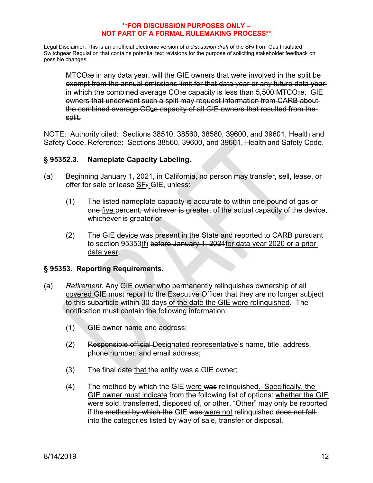Legal Disclaimer: This is an unofficial electronic version of *a discussion draft* of the SF<sub>6</sub> from Gas Insulated Switchgear Regulation that contains potential text revisions for the purpose of soliciting stakeholder feedback on possible changes.

MTCO2e in any data year, will the GIE owners that were involved in the split be exempt from the annual emissions limit for that data year or any future data year in which the combined average  $CO<sub>2</sub>e$  capacity is less than 5,500 MTCO $<sub>2</sub>e$ . GIE-</sub> owners that underwent such a split may request information from CARB about the combined average CO<sub>2</sub>e capacity of all GIE owners that resulted from the split.

NOTE: Authority cited: Sections 38510, 38560, 38580, 39600, and 39601, Health and Safety Code. Reference: Sections 38560, 39600, and 39601, Health and Safety Code.

# **§ 95352.3. Nameplate Capacity Labeling.**

- (a) Beginning January 1, 2021, in California, no person may transfer, sell, lease, or offer for sale or lease SF<sub>6</sub> GIE, unless:
	- (1) The listed nameplate capacity is accurate to within one pound of gas or one five percent, whichever is greater, of the actual capacity of the device, whichever is greater or
	- (2) The GIE device was present in the State and reported to CARB pursuant to section 95353(f) before January 1, 2021for data year 2020 or a prior data year.

# **§ 95353. Reporting Requirements.**

- (a) *Retirement.* Any GIE owner who permanently relinquishes ownership of all covered GIE must report to the Executive Officer that they are no longer subject to this subarticle within 30 days of the date the GIE were relinquished. The notification must contain the following information:
	- (1) GIE owner name and address;
	- (2) Responsible official Designated representative's name, title, address, phone number, and email address;
	- $(3)$  The final date that the entity was a GIE owner;
	- (4) The method by which the GIE were was relinquished. Specifically, the GIE owner must indicate from the following list of options: whether the GIE were sold, transferred, disposed of, or other. "Other" may only be reported if the method by which the GIE was were not relinquished does not fall into the categories listed by way of sale, transfer or disposal.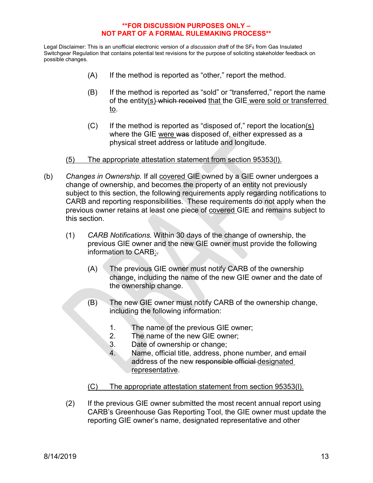- (A) If the method is reported as "other," report the method.
- (B) If the method is reported as "sold" or "transferred," report the name of the entity(s) which received that the GIE were sold or transferred to.
- $(C)$  If the method is reported as "disposed of," report the location(s) where the GIE were was disposed of, either expressed as a physical street address or latitude and longitude.
- (5) The appropriate attestation statement from section 95353(l).
- (b) *Changes in Ownership.* If all covered GIE owned by a GIE owner undergoes a change of ownership, and becomes the property of an entity not previously subject to this section, the following requirements apply regarding notifications to CARB and reporting responsibilities. These requirements do not apply when the previous owner retains at least one piece of covered GIE and remains subject to this section.
	- (1) *CARB Notifications.* Within 30 days of the change of ownership, the previous GIE owner and the new GIE owner must provide the following information to CARB:.
		- (A) The previous GIE owner must notify CARB of the ownership change, including the name of the new GIE owner and the date of the ownership change.
		- (B) The new GIE owner must notify CARB of the ownership change, including the following information:
			- 1. The name of the previous GIE owner;
			- 2. The name of the new GIE owner;
			- 3. Date of ownership or change;
			- 4. Name, official title, address, phone number, and email address of the new responsible official designated representative.
		- (C) The appropriate attestation statement from section 95353(l).
	- (2) If the previous GIE owner submitted the most recent annual report using CARB's Greenhouse Gas Reporting Tool, the GIE owner must update the reporting GIE owner's name, designated representative and other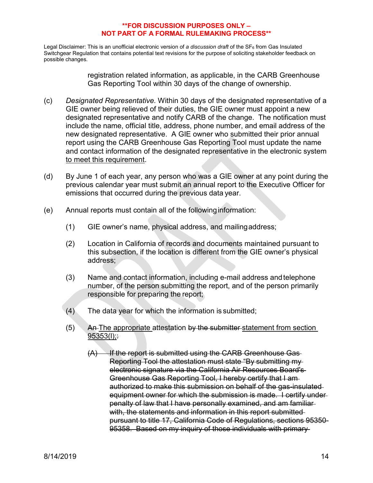Legal Disclaimer: This is an unofficial electronic version of *a discussion draft* of the SF<sub>6</sub> from Gas Insulated Switchgear Regulation that contains potential text revisions for the purpose of soliciting stakeholder feedback on possible changes.

> registration related information, as applicable, in the CARB Greenhouse Gas Reporting Tool within 30 days of the change of ownership.

- (c) *Designated Representative.* Within 30 days of the designated representative of a GIE owner being relieved of their duties, the GIE owner must appoint a new designated representative and notify CARB of the change. The notification must include the name, official title, address, phone number, and email address of the new designated representative. A GIE owner who submitted their prior annual report using the CARB Greenhouse Gas Reporting Tool must update the name and contact information of the designated representative in the electronic system to meet this requirement.
- (d) By June 1 of each year, any person who was a GIE owner at any point during the previous calendar year must submit an annual report to the Executive Officer for emissions that occurred during the previous data year.
- (e) Annual reports must contain all of the followinginformation:
	- (1) GIE owner's name, physical address, and mailingaddress;
	- (2) Location in California of records and documents maintained pursuant to this subsection, if the location is different from the GIE owner's physical address;
	- (3) Name and contact information, including e-mail address andtelephone number, of the person submitting the report, and of the person primarily responsible for preparing the report;
	- (4) The data year for which the information is submitted;
	- (5) An The appropriate attestation by the submitter-statement from section  $95353(l)$ ;
		- $(A)$  If the report is submitted using the CARB Greenhouse Gas-Reporting Tool the attestation must state "By submitting my electronic signature via the California Air Resources Board's Greenhouse Gas Reporting Tool, I hereby certify that I am authorized to make this submission on behalf of the gas-insulated equipment owner for which the submission is made. I certify under penalty of law that I have personally examined, and am familiar with, the statements and information in this report submitted pursuant to title 17, California Code of Regulations, sections 95350- 95358. Based on my inquiry of those individuals with primary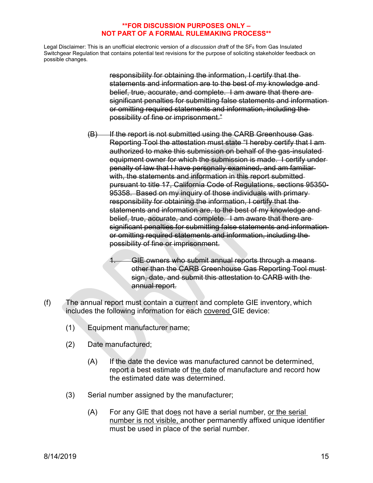Legal Disclaimer: This is an unofficial electronic version of *a discussion draft* of the SF<sub>6</sub> from Gas Insulated Switchgear Regulation that contains potential text revisions for the purpose of soliciting stakeholder feedback on possible changes.

> responsibility for obtaining the information, I certify that the statements and information are to the best of my knowledge and belief, true, accurate, and complete. I am aware that there are significant penalties for submitting false statements and information or omitting required statements and information, including the possibility of fine or imprisonment."

- (B) If the report is not submitted using the CARB Greenhouse Gas-Reporting Tool the attestation must state "I hereby certify that I am authorized to make this submission on behalf of the gas-insulated equipment owner for which the submission is made. I certify under penalty of law that I have personally examined, and am familiar with, the statements and information in this report submitted pursuant to title 17, California Code of Regulations, sections 95350- 95358. Based on my inquiry of those individuals with primary responsibility for obtaining the information, I certify that the statements and information are, to the best of my knowledge and belief, true, accurate, and complete. I am aware that there are significant penalties for submitting false statements and information or omitting required statements and information, including the possibility of fine or imprisonment.
	- GIE owners who submit annual reports through a means other than the CARB Greenhouse Gas Reporting Tool must sign, date, and submit this attestation to CARB with the annual report.
- (f) The annual report must contain a current and complete GIE inventory, which includes the following information for each covered GIE device:
	- (1) Equipment manufacturer name;
	- (2) Date manufactured;
		- (A) If the date the device was manufactured cannot be determined, report a best estimate of the date of manufacture and record how the estimated date was determined.
	- (3) Serial number assigned by the manufacturer;
		- (A) For any GIE that does not have a serial number, or the serial number is not visible, another permanently affixed unique identifier must be used in place of the serial number.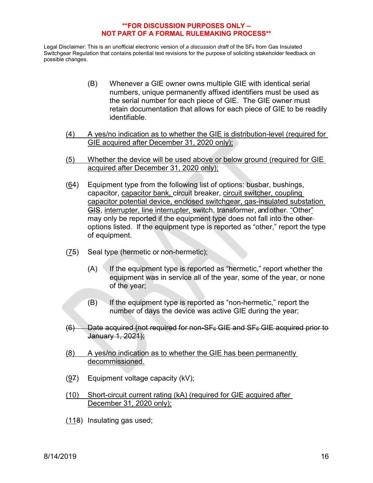- (B) Whenever a GIE owner owns multiple GIE with identical serial numbers, unique permanently affixed identifiers must be used as the serial number for each piece of GIE. The GIE owner must retain documentation that allows for each piece of GIE to be readily identifiable.
- (4) A yes/no indication as to whether the GIE is distribution-level (required for GIE acquired after December 31, 2020 only);
- (5) Whether the device will be used above or below ground (required for GIE acquired after December 31, 2020 only);
- (64) Equipment type from the following list of options: busbar, bushings, capacitor, capacitor bank, circuit breaker, circuit switcher, coupling capacitor potential device, enclosed switchgear, gas-insulated substation GIS, interrupter, line interrupter, switch, transformer, and other. "Other" may only be reported if the equipment type does not fall into the otheroptions listed. If the equipment type is reported as "other," report the type of equipment.
- (75) Seal type (hermetic or non-hermetic);
	- $(A)$  If the equipment type is reported as "hermetic," report whether the equipment was in service all of the year, some of the year, or none of the year;
	- $(B)$  If the equipment type is reported as "non-hermetic," report the number of days the device was active GIE during the year;
- $(6)$  Date acquired (not required for non-SF $_6$  GIE and SF $_6$  GIE acquired prior to January 1, 2021);
- (8) A yes/no indication as to whether the GIE has been permanently decommissioned.
- (97) Equipment voltage capacity (kV);
- (10) Short-circuit current rating (kA) (required for GIE acquired after December 31, 2020 only);
- (118) Insulating gas used;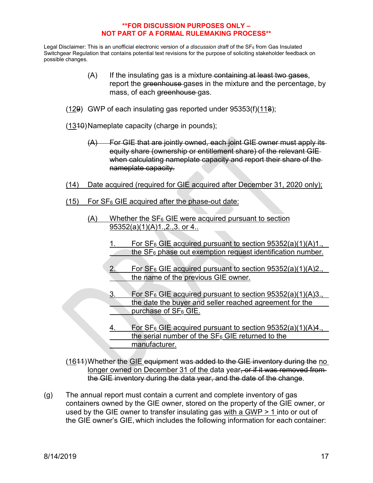Legal Disclaimer: This is an unofficial electronic version of *a discussion draft* of the SF<sub>6</sub> from Gas Insulated Switchgear Regulation that contains potential text revisions for the purpose of soliciting stakeholder feedback on possible changes.

- $(A)$  If the insulating gas is a mixture containing at least two gases, report the greenhouse gases in the mixture and the percentage, by mass, of each greenhouse gas.
- (129) GWP of each insulating gas reported under 95353(f)(118);
- (1310)Nameplate capacity (charge in pounds);
	- (A) For GIE that are jointly owned, each joint GIE owner must apply its equity share (ownership or entitlement share) of the relevant GIE when calculating nameplate capacity and report their share of the nameplate capacity.
- (14) Date acquired (required for GIE acquired after December 31, 2020 only);
- $(15)$  For SF<sub>6</sub> GIE acquired after the phase-out date:
	- $(A)$  Whether the SF<sub>6</sub> GIE were acquired pursuant to section 95352(a)(1)(A)1.,2.,3. or 4..
		- 1. For  $SF_6$  GIE acquired pursuant to section  $95352(a)(1)(A)1$ . the  $SF<sub>6</sub>$  phase out exemption request identification number.
		- 2. For  $SF_6$  GIE acquired pursuant to section  $95352(a)(1)(A)2$ . the name of the previous GIE owner.
		- 3. For  $SF_6$  GIE acquired pursuant to section  $95352(a)(1)(A)3$ . the date the buyer and seller reached agreement for the purchase of SF<sub>6</sub> GIE.
		- 4. For  $SF_6$  GIE acquired pursuant to section  $95352(a)(1)(A)4$ . the serial number of the  $SF<sub>6</sub>$  GIE returned to the manufacturer.

(1644)Whether the GIE equipment was added to the GIE inventory during the no longer owned on December 31 of the data year, or if it was removed fromthe GIE inventory during the data year, and the date of the change.

(g) The annual report must contain a current and complete inventory of gas containers owned by the GIE owner, stored on the property of the GIE owner, or used by the GIE owner to transfer insulating gas with a GWP  $> 1$  into or out of the GIE owner's GIE, which includes the following information for each container: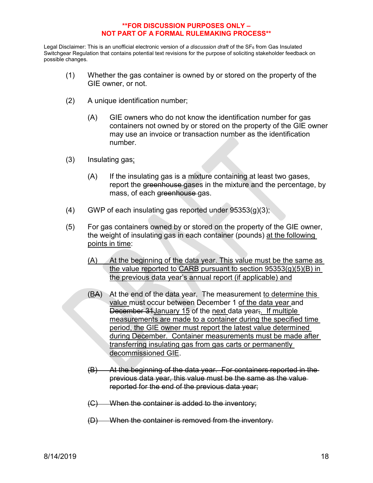- (1) Whether the gas container is owned by or stored on the property of the GIE owner, or not.
- (2) A unique identification number;
	- (A) GIE owners who do not know the identification number for gas containers not owned by or stored on the property of the GIE owner may use an invoice or transaction number as the identification number.
- (3) Insulating gas;
	- (A) If the insulating gas is a mixture containing at least two gases, report the greenhouse gases in the mixture and the percentage, by mass, of each greenhouse gas.
- $(4)$  GWP of each insulating gas reported under 95353(g)(3);
- (5) For gas containers owned by or stored on the property of the GIE owner, the weight of insulating gas in each container (pounds) at the following points in time:
	- (A) At the beginning of the data year. This value must be the same as the value reported to CARB pursuant to section 95353(g)(5)(B) in the previous data year's annual report (if applicable) and
	- (BA) At the end of the data year. The measurement to determine this value must occur between December 1 of the data year and December 31January 15 of the next data year;. If multiple measurements are made to a container during the specified time period, the GIE owner must report the latest value determined during December. Container measurements must be made after transferring insulating gas from gas carts or permanently decommissioned GIE.
	- (B) At the beginning of the data year. For containers reported in the previous data year, this value must be the same as the value reported for the end of the previous data year;
	- (C) When the container is added to the inventory;
	- (D) When the container is removed from the inventory.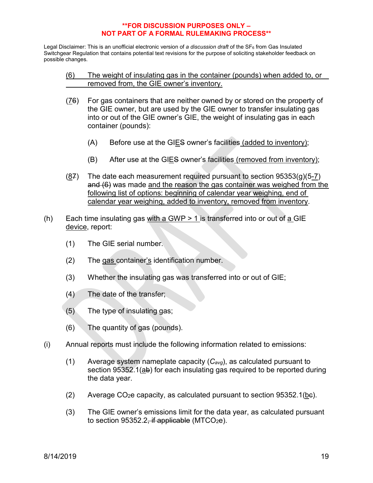Legal Disclaimer: This is an unofficial electronic version of *a discussion draft* of the SF<sub>6</sub> from Gas Insulated Switchgear Regulation that contains potential text revisions for the purpose of soliciting stakeholder feedback on possible changes.

### (6) The weight of insulating gas in the container (pounds) when added to, or removed from, the GIE owner's inventory.

- (76) For gas containers that are neither owned by or stored on the property of the GIE owner, but are used by the GIE owner to transfer insulating gas into or out of the GIE owner's GIE, the weight of insulating gas in each container (pounds):
	- (A) Before use at the GIES owner's facilities (added to inventory);
	- (B) After use at the GIES owner's facilities (removed from inventory);
- $(87)$  The date each measurement required pursuant to section 95353(g)(5-7) and (6) was made and the reason the gas container was weighed from the following list of options: beginning of calendar year weighing, end of calendar year weighing, added to inventory, removed from inventory.
- (h) Each time insulating gas with a GWP  $> 1$  is transferred into or out of a GIE device, report:
	- (1) The GIE serial number.
	- (2) The gas container's identification number.
	- (3) Whether the insulating gas was transferred into or out of GIE;
	- (4) The date of the transfer;
	- (5) The type of insulating gas;
	- (6) The quantity of gas (pounds).
- (i) Annual reports must include the following information related to emissions:
	- (1) Average system nameplate capacity (*Cavg*), as calculated pursuant to section 95352.1(ab) for each insulating gas required to be reported during the data year.
	- (2) Average  $CO<sub>2</sub>e$  capacity, as calculated pursuant to section 95352.1(be).
	- (3) The GIE owner's emissions limit for the data year, as calculated pursuant to section  $95352.2$ , if applicable (MTCO<sub>2</sub>e).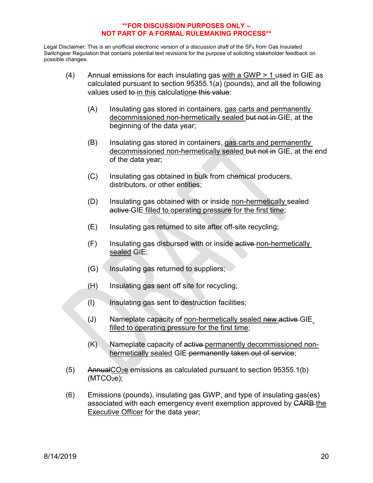- (4) Annual emissions for each insulating gas with a GWP > 1 used in GIE as calculated pursuant to section 95355.1(a) (pounds), and all the following values used to in this calculatione this value:
	- (A) Insulating gas stored in containers, gas carts and permanently decommissioned non-hermetically sealed but not in GIE, at the beginning of the data year;
	- (B) Insulating gas stored in containers, gas carts and permanently decommissioned non-hermetically sealed but not in GIE, at the end of the data year;
	- (C) Insulating gas obtained in bulk from chemical producers, distributors, or other entities;
	- (D) Insulating gas obtained with or inside non-hermetically sealed active GIE filled to operating pressure for the first time;
	- (E) Insulating gas returned to site after off-site recycling;
	- (F) Insulating gas disbursed with or inside active non-hermetically sealed GIE;
	- (G) Insulating gas returned to suppliers;
	- (H) Insulating gas sent off site for recycling;
	- (I) Insulating gas sent to destruction facilities;
	- (J) Nameplate capacity of non-hermetically sealed new active GIE filled to operating pressure for the first time;
	- (K) Nameplate capacity of active permanently decommissioned nonhermetically sealed GIE-permanently taken out of service;
- $(5)$  AnnualCO<sub>2</sub>e emissions as calculated pursuant to section 95355.1(b)  $(MTCO<sub>2</sub>e)$ ;
- (6) Emissions (pounds), insulating gas GWP, and type of insulating gas(es) associated with each emergency event exemption approved by CARB the Executive Officer for the data year;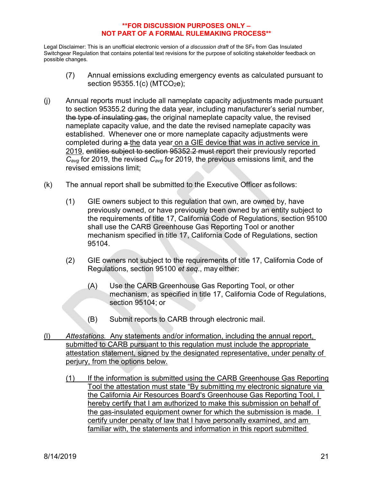- (7) Annual emissions excluding emergency events as calculated pursuant to section  $95355.1(c)$  (MTCO<sub>2</sub>e);
- (j) Annual reports must include all nameplate capacity adjustments made pursuant to section 95355.2 during the data year, including manufacturer's serial number, the type of insulating gas, the original nameplate capacity value, the revised nameplate capacity value, and the date the revised nameplate capacity was established. Whenever one or more nameplate capacity adjustments were completed during a the data year on a GIE device that was in active service in 2019, entities subject to section 95352.2 must report their previously reported *Cavg* for 2019, the revised *Cavg* for 2019, the previous emissions limit, and the revised emissions limit;
- (k) The annual report shall be submitted to the Executive Officer as follows:
	- (1) GIE owners subject to this regulation that own, are owned by, have previously owned, or have previously been owned by an entity subject to the requirements of title 17, California Code of Regulations, section 95100 shall use the CARB Greenhouse Gas Reporting Tool or another mechanism specified in title 17, California Code of Regulations, section 95104.
	- (2) GIE owners not subject to the requirements of title 17, California Code of Regulations, section 95100 *et seq*., may either:
		- (A) Use the CARB Greenhouse Gas Reporting Tool, or other mechanism, as specified in title 17, California Code of Regulations, section 95104; or
		- (B) Submit reports to CARB through electronic mail.
- (l) *Attestations.* Any statements and/or information, including the annual report, submitted to CARB pursuant to this regulation must include the appropriate attestation statement, signed by the designated representative, under penalty of perjury, from the options below.
	- (1) If the information is submitted using the CARB Greenhouse Gas Reporting Tool the attestation must state "By submitting my electronic signature via the California Air Resources Board's Greenhouse Gas Reporting Tool, I hereby certify that I am authorized to make this submission on behalf of the gas-insulated equipment owner for which the submission is made. I certify under penalty of law that I have personally examined, and am familiar with, the statements and information in this report submitted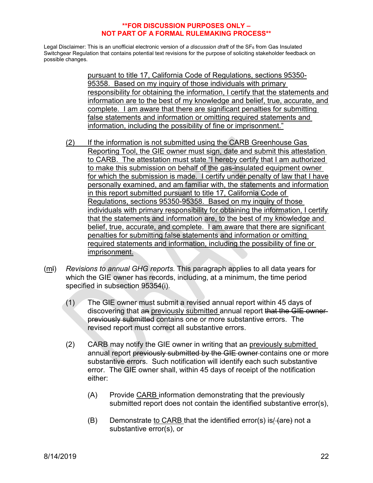Legal Disclaimer: This is an unofficial electronic version of *a discussion draft* of the SF<sub>6</sub> from Gas Insulated Switchgear Regulation that contains potential text revisions for the purpose of soliciting stakeholder feedback on possible changes.

> pursuant to title 17, California Code of Regulations, sections 95350- 95358. Based on my inquiry of those individuals with primary responsibility for obtaining the information, I certify that the statements and information are to the best of my knowledge and belief, true, accurate, and complete. I am aware that there are significant penalties for submitting false statements and information or omitting required statements and information, including the possibility of fine or imprisonment."

- (2) If the information is not submitted using the CARB Greenhouse Gas Reporting Tool, the GIE owner must sign, date and submit this attestation to CARB. The attestation must state "I hereby certify that I am authorized to make this submission on behalf of the gas-insulated equipment owner for which the submission is made. I certify under penalty of law that I have personally examined, and am familiar with, the statements and information in this report submitted pursuant to title 17, California Code of Regulations, sections 95350-95358. Based on my inquiry of those individuals with primary responsibility for obtaining the information, I certify that the statements and information are, to the best of my knowledge and belief, true, accurate, and complete. I am aware that there are significant penalties for submitting false statements and information or omitting required statements and information, including the possibility of fine or imprisonment.
- (ml) *Revisions to annual GHG reports.* This paragraph applies to all data years for which the GIE owner has records, including, at a minimum, the time period specified in subsection 95354(i).
	- (1) The GIE owner must submit a revised annual report within 45 days of discovering that an previously submitted annual report that the GIE ownerpreviously submitted contains one or more substantive errors. The revised report must correct all substantive errors.
	- (2) CARB may notify the GIE owner in writing that an previously submitted annual report previously submitted by the GIE owner contains one or more substantive errors. Such notification will identify each such substantive error. The GIE owner shall, within 45 days of receipt of the notification either:
		- (A) Provide CARB information demonstrating that the previously submitted report does not contain the identified substantive error(s),
		- $(B)$  Demonstrate to CARB that the identified error(s) is/ $\overline{4}$ are $\overline{4}$  not a substantive error(s), or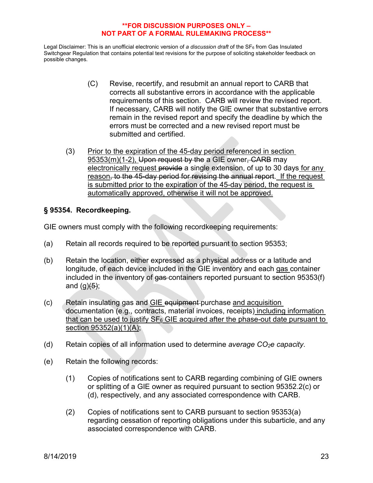Legal Disclaimer: This is an unofficial electronic version of *a discussion draft* of the SF<sub>6</sub> from Gas Insulated Switchgear Regulation that contains potential text revisions for the purpose of soliciting stakeholder feedback on possible changes.

- (C) Revise, recertify, and resubmit an annual report to CARB that corrects all substantive errors in accordance with the applicable requirements of this section. CARB will review the revised report. If necessary, CARB will notify the GIE owner that substantive errors remain in the revised report and specify the deadline by which the errors must be corrected and a new revised report must be submitted and certified.
- (3) Prior to the expiration of the 45-day period referenced in section 95353(m)(1-2), Upon request by the a GIE owner, CARB may electronically request provide a single extension, of up to 30 days for any reason, to the 45-day period for revising the annual report. If the request is submitted prior to the expiration of the 45-day period, the request is automatically approved, otherwise it will not be approved.

# **§ 95354. Recordkeeping.**

GIE owners must comply with the following recordkeeping requirements:

- (a) Retain all records required to be reported pursuant to section 95353;
- (b) Retain the location, either expressed as a physical address or a latitude and longitude, of each device included in the GIE inventory and each gas container included in the inventory of gas-containers reported pursuant to section 95353(f) and  $(q)(5)$ ;
- (c) Retain insulating gas and GIE equipment purchase and acquisition documentation (e.g., contracts, material invoices, receipts) including information that can be used to justify  $SF_6$  GIE acquired after the phase-out date pursuant to section 95352(a)(1)(A);
- (d) Retain copies of all information used to determine *average CO2e capacity*.
- (e) Retain the following records:
	- (1) Copies of notifications sent to CARB regarding combining of GIE owners or splitting of a GIE owner as required pursuant to section 95352.2(c) or (d), respectively, and any associated correspondence with CARB.
	- (2) Copies of notifications sent to CARB pursuant to section 95353(a) regarding cessation of reporting obligations under this subarticle, and any associated correspondence with CARB.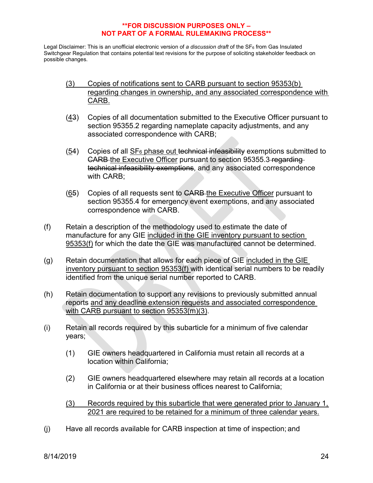- (3) Copies of notifications sent to CARB pursuant to section 95353(b) regarding changes in ownership, and any associated correspondence with CARB.
- (43) Copies of all documentation submitted to the Executive Officer pursuant to section 95355.2 regarding nameplate capacity adjustments, and any associated correspondence with CARB;
- $(54)$  Copies of all SF<sub>6</sub> phase out technical infeasibility exemptions submitted to CARB the Executive Officer pursuant to section 95355.3 regarding technical infeasibility exemptions, and any associated correspondence with CARB;
- $(65)$  Copies of all requests sent to CARB the Executive Officer pursuant to section 95355.4 for emergency event exemptions, and any associated correspondence with CARB.
- (f) Retain a description of the methodology used to estimate the date of manufacture for any GIE included in the GIE inventory pursuant to section 95353(f) for which the date the GIE was manufactured cannot be determined.
- $(g)$  Retain documentation that allows for each piece of GIE included in the GIE inventory pursuant to section 95353(f) with identical serial numbers to be readily identified from the unique serial number reported to CARB.
- (h) Retain documentation to support any revisions to previously submitted annual reports and any deadline extension requests and associated correspondence with CARB pursuant to section 95353(m)(3).
- (i) Retain all records required by this subarticle for a minimum of five calendar years;
	- (1) GIE owners headquartered in California must retain all records at a location within California;
	- (2) GIE owners headquartered elsewhere may retain all records at a location in California or at their business offices nearest to California;
	- (3) Records required by this subarticle that were generated prior to January 1, 2021 are required to be retained for a minimum of three calendar years.
- (j) Have all records available for CARB inspection at time of inspection; and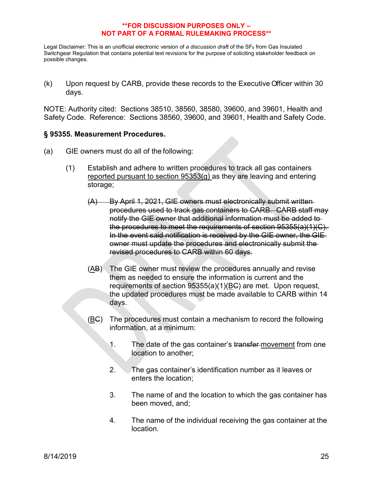Legal Disclaimer: This is an unofficial electronic version of *a discussion draft* of the SF6 from Gas Insulated Switchgear Regulation that contains potential text revisions for the purpose of soliciting stakeholder feedback on possible changes.

(k) Upon request by CARB, provide these records to the Executive Officer within 30 days.

NOTE: Authority cited: Sections 38510, 38560, 38580, 39600, and 39601, Health and Safety Code. Reference: Sections 38560, 39600, and 39601, Health and Safety Code.

## **§ 95355. Measurement Procedures.**

- (a) GIE owners must do all of the following:
	- (1) Establish and adhere to written procedures to track all gas containers reported pursuant to section 95353(g) as they are leaving and entering storage;
		- (A) By April 1, 2021, GIE owners must electronically submit written procedures used to track gas containers to CARB. CARB staff may notify the GIE owner that additional information must be added to the procedures to meet the requirements of section 95355(a)(1)(C). In the event said notification is received by the GIE owner, the GIE owner must update the procedures and electronically submit the revised procedures to CARB within 60 days.
		- (AB) The GIE owner must review the procedures annually and revise them as needed to ensure the information is current and the requirements of section 95355(a)(1)(BC) are met. Upon request, the updated procedures must be made available to CARB within 14 days.
		- (BC) The procedures must contain a mechanism to record the following information, at a minimum:
			- 1. The date of the gas container's transfer-movement from one location to another;
			- 2. The gas container's identification number as it leaves or enters the location;
			- 3. The name of and the location to which the gas container has been moved, and;
			- 4. The name of the individual receiving the gas container at the location.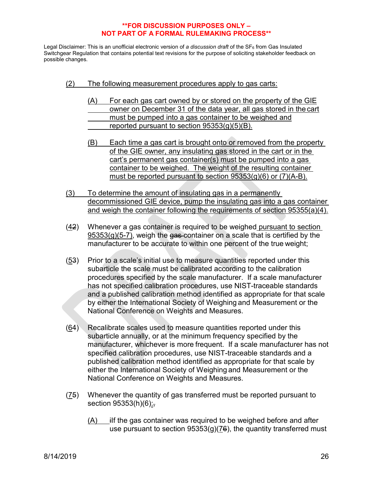- (2) The following measurement procedures apply to gas carts:
	- (A) For each gas cart owned by or stored on the property of the GIE owner on December 31 of the data year, all gas stored in the cart must be pumped into a gas container to be weighed and reported pursuant to section 95353(g)(5)(B).
	- (B) Each time a gas cart is brought onto or removed from the property of the GIE owner, any insulating gas stored in the cart or in the cart's permanent gas container(s) must be pumped into a gas container to be weighed. The weight of the resulting container must be reported pursuant to section 95353(g)(6) or (7)(A-B).
- (3) To determine the amount of insulating gas in a permanently decommissioned GIE device, pump the insulating gas into a gas container and weigh the container following the requirements of section 95355(a)(4).
- (42) Whenever a gas container is required to be weighed pursuant to section  $95353(g)(5-7)$ , weigh the gas-container on a scale that is certified by the manufacturer to be accurate to within one percent of the true weight;
- $(53)$  Prior to a scale's initial use to measure quantities reported under this subarticle the scale must be calibrated according to the calibration procedures specified by the scale manufacturer. If a scale manufacturer has not specified calibration procedures, use NIST-traceable standards and a published calibration method identified as appropriate for that scale by either the International Society of Weighing and Measurement or the National Conference on Weights and Measures.
- (64) Recalibrate scales used to measure quantities reported under this subarticle annually, or at the minimum frequency specified by the manufacturer, whichever is more frequent. If a scale manufacturer has not specified calibration procedures, use NIST-traceable standards and a published calibration method identified as appropriate for that scale by either the International Society of Weighing and Measurement or the National Conference on Weights and Measures.
- (75) Whenever the quantity of gas transferred must be reported pursuant to section  $95353(h)(6)$ :
	- $(A)$  iIf the gas container was required to be weighed before and after use pursuant to section  $95353(g)(76)$ , the quantity transferred must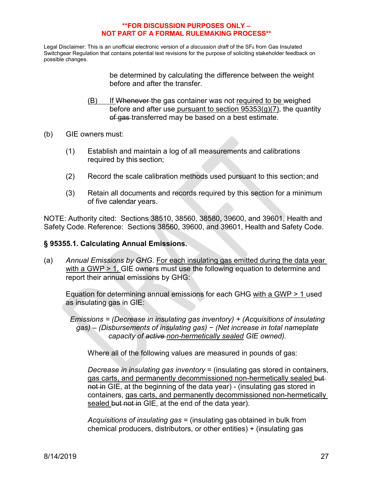Legal Disclaimer: This is an unofficial electronic version of *a discussion draft* of the SF<sub>6</sub> from Gas Insulated Switchgear Regulation that contains potential text revisions for the purpose of soliciting stakeholder feedback on possible changes.

> be determined by calculating the difference between the weight before and after the transfer.

- (B) If Whenever the gas container was not required to be weighed before and after use pursuant to section  $95353(g)(7)$ , the quantity of gas transferred may be based on a best estimate.
- (b) GIE owners must:
	- (1) Establish and maintain a log of all measurements and calibrations required by this section;
	- (2) Record the scale calibration methods used pursuant to this section; and
	- (3) Retain all documents and records required by this section for a minimum of five calendar years.

NOTE: Authority cited: Sections 38510, 38560, 38580, 39600, and 39601, Health and Safety Code. Reference: Sections 38560, 39600, and 39601, Health and Safety Code.

### **§ 95355.1. Calculating Annual Emissions.**

(a) *Annual Emissions by GHG*. For each insulating gas emitted during the data year with a GWP > 1, GIE owners must use the following equation to determine and report their annual emissions by GHG:

Equation for determining annual emissions for each GHG with a GWP > 1 used as insulating gas in GIE:

*Emissions = (Decrease in insulating gas inventory) + (Acquisitions of insulating gas) – (Disbursements of insulating gas) − (Net increase in total nameplate capacity of active non-hermetically sealed GIE owned).*

Where all of the following values are measured in pounds of gas:

*Decrease in insulating gas inventory* = (insulating gas stored in containers, gas carts, and permanently decommissioned non-hermetically sealed butnot in GIE, at the beginning of the data year) - (insulating gas stored in containers, gas carts, and permanently decommissioned non-hermetically sealed but not in GIE, at the end of the data year).

*Acquisitions of insulating gas* = (insulating gas obtained in bulk from chemical producers, distributors, or other entities) + (insulating gas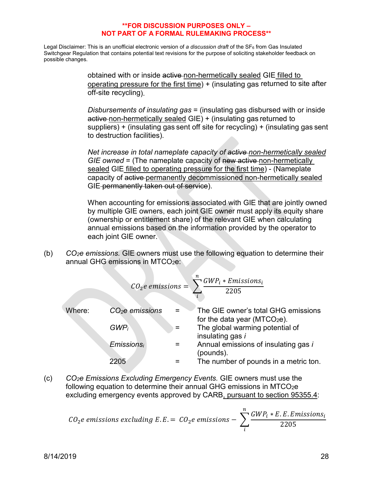Legal Disclaimer: This is an unofficial electronic version of *a discussion draft* of the SF6 from Gas Insulated Switchgear Regulation that contains potential text revisions for the purpose of soliciting stakeholder feedback on possible changes.

> obtained with or inside active non-hermetically sealed GIE filled to operating pressure for the first time) + (insulating gas returned to site after off-site recycling).

> *Disbursements of insulating gas* = (insulating gas disbursed with or inside active non-hermetically sealed GIE) + (insulating gas returned to suppliers) + (insulating gas sent off site for recycling) + (insulating gas sent to destruction facilities).

> *Net increase in total nameplate capacity of active non-hermetically sealed GIE owned* = (The nameplate capacity of new active non-hermetically sealed GIE filled to operating pressure for the first time) - (Nameplate capacity of active permanently decommissioned non-hermetically sealed GIE-permanently taken out of service).

> When accounting for emissions associated with GIE that are jointly owned by multiple GIE owners, each joint GIE owner must apply its equity share (ownership or entitlement share) of the relevant GIE when calculating annual emissions based on the information provided by the operator to each joint GIE owner.

(b) *CO2e emissions.* GIE owners must use the following equation to determine their annual GHG emissions in MTCO<sub>2</sub>e:

| $CO_2e$ emissions | $\frac{1}{i}$     | $\frac{GWP_i * Emissions_i}{2205}$                                                                                     |                                                                                 |                                                                                                   |
|-------------------|-------------------|------------------------------------------------------------------------------------------------------------------------|---------------------------------------------------------------------------------|---------------------------------------------------------------------------------------------------|
| Where:            | $CO_2e$ emissions | =                                                                                                                      | The GIE owner's total GHG emissions<br>for the data year (MTCO <sub>2e</sub> ). |                                                                                                   |
| $GWP_i$           | =                 | The global warming potential of insulating gas <i>i</i><br>insulations of insulating gas <i>i</i><br>(pounds).<br>2205 | =                                                                               | Annual emissions of insulating gas <i>i</i><br>(pounds).<br>The number of pounds in a metric ton. |

(c) *CO2e Emissions Excluding Emergency Events.* GIE owners must use the following equation to determine their annual GHG emissions in  $MTCO<sub>2</sub>e$ excluding emergency events approved by CARB, pursuant to section 95355.4:

$$
CO_2e
$$
 emissions excluding E.E. =  $CO_2e$  emissions -  $\sum_i^n \frac{GWP_i * E.E.Emissions_i}{2205}$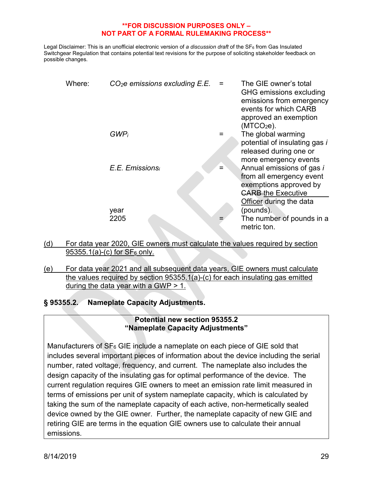Legal Disclaimer: This is an unofficial electronic version of *a discussion draft* of the SF<sub>6</sub> from Gas Insulated Switchgear Regulation that contains potential text revisions for the purpose of soliciting stakeholder feedback on possible changes.

| Where: | $CO2e$ emissions excluding $E.E.$ |     | The GIE owner's total<br>GHG emissions excluding<br>emissions from emergency<br>events for which CARB<br>approved an exemption<br>(MTCO <sub>2</sub> e). |
|--------|-----------------------------------|-----|----------------------------------------------------------------------------------------------------------------------------------------------------------|
|        | $GWP_i$                           |     | The global warming<br>potential of insulating gas i<br>released during one or<br>more emergency events                                                   |
|        | E.E. Emissionsi                   | $=$ | Annual emissions of gas i<br>from all emergency event<br>exemptions approved by<br><b>CARB-the Executive</b>                                             |
|        | year<br>2205                      |     | Officer during the data<br>(pounds).<br>The number of pounds in a<br>metric ton.                                                                         |

(d) For data year 2020, GIE owners must calculate the values required by section 95355.1(a)-(c) for  $SF<sub>6</sub>$  only.

(e) For data year 2021 and all subsequent data years, GIE owners must calculate the values required by section 95355.1(a)-(c) for each insulating gas emitted during the data year with a GWP  $> 1$ .

**§ 95355.2. Nameplate Capacity Adjustments.**

# **Potential new section 95355.2 "Nameplate Capacity Adjustments"**

Manufacturers of  $SF<sub>6</sub> GE$  include a nameplate on each piece of GIE sold that includes several important pieces of information about the device including the serial number, rated voltage, frequency, and current. The nameplate also includes the design capacity of the insulating gas for optimal performance of the device. The current regulation requires GIE owners to meet an emission rate limit measured in terms of emissions per unit of system nameplate capacity, which is calculated by taking the sum of the nameplate capacity of each active, non-hermetically sealed device owned by the GIE owner. Further, the nameplate capacity of new GIE and retiring GIE are terms in the equation GIE owners use to calculate their annual emissions.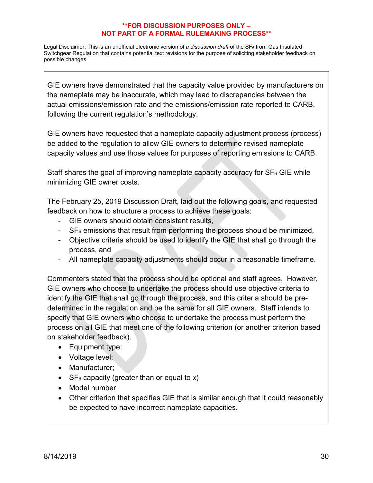Legal Disclaimer: This is an unofficial electronic version of *a discussion draft* of the SF6 from Gas Insulated Switchgear Regulation that contains potential text revisions for the purpose of soliciting stakeholder feedback on possible changes.

GIE owners have demonstrated that the capacity value provided by manufacturers on the nameplate may be inaccurate, which may lead to discrepancies between the actual emissions/emission rate and the emissions/emission rate reported to CARB, following the current regulation's methodology.

GIE owners have requested that a nameplate capacity adjustment process (process) be added to the regulation to allow GIE owners to determine revised nameplate capacity values and use those values for purposes of reporting emissions to CARB.

Staff shares the goal of improving nameplate capacity accuracy for  $SF<sub>6</sub> GE$  while minimizing GIE owner costs.

The February 25, 2019 Discussion Draft, laid out the following goals, and requested feedback on how to structure a process to achieve these goals:

- GIE owners should obtain consistent results,
- $SF<sub>6</sub>$  emissions that result from performing the process should be minimized,
- Objective criteria should be used to identify the GIE that shall go through the process, and
- All nameplate capacity adjustments should occur in a reasonable timeframe.

Commenters stated that the process should be optional and staff agrees. However, GIE owners who choose to undertake the process should use objective criteria to identify the GIE that shall go through the process, and this criteria should be predetermined in the regulation and be the same for all GIE owners. Staff intends to specify that GIE owners who choose to undertake the process must perform the process on all GIE that meet one of the following criterion (or another criterion based on stakeholder feedback).

- Equipment type;
- Voltage level;
- Manufacturer;
- SF6 capacity (greater than or equal to *x*)
- Model number
- Other criterion that specifies GIE that is similar enough that it could reasonably be expected to have incorrect nameplate capacities.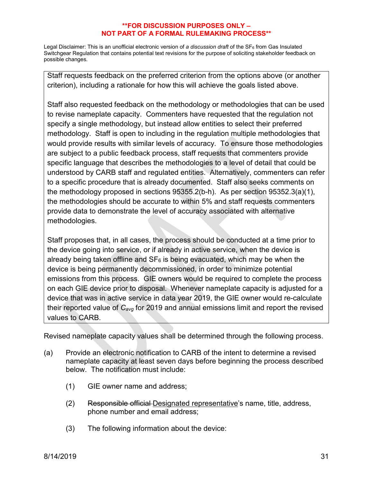Legal Disclaimer: This is an unofficial electronic version of *a discussion draft* of the SF<sub>6</sub> from Gas Insulated Switchgear Regulation that contains potential text revisions for the purpose of soliciting stakeholder feedback on possible changes.

Staff requests feedback on the preferred criterion from the options above (or another criterion), including a rationale for how this will achieve the goals listed above.

Staff also requested feedback on the methodology or methodologies that can be used to revise nameplate capacity. Commenters have requested that the regulation not specify a single methodology, but instead allow entities to select their preferred methodology. Staff is open to including in the regulation multiple methodologies that would provide results with similar levels of accuracy. To ensure those methodologies are subject to a public feedback process, staff requests that commenters provide specific language that describes the methodologies to a level of detail that could be understood by CARB staff and regulated entities. Alternatively, commenters can refer to a specific procedure that is already documented. Staff also seeks comments on the methodology proposed in sections 95355.2(b-h). As per section 95352.3(a)(1), the methodologies should be accurate to within 5% and staff requests commenters provide data to demonstrate the level of accuracy associated with alternative methodologies.

Staff proposes that, in all cases, the process should be conducted at a time prior to the device going into service, or if already in active service, when the device is already being taken offline and  $SF<sub>6</sub>$  is being evacuated, which may be when the device is being permanently decommissioned, in order to minimize potential emissions from this process. GIE owners would be required to complete the process on each GIE device prior to disposal. Whenever nameplate capacity is adjusted for a device that was in active service in data year 2019, the GIE owner would re-calculate their reported value of *Cavg* for 2019 and annual emissions limit and report the revised values to CARB.

Revised nameplate capacity values shall be determined through the following process.

- (a) Provide an electronic notification to CARB of the intent to determine a revised nameplate capacity at least seven days before beginning the process described below. The notification must include:
	- (1) GIE owner name and address;
	- (2) Responsible official Designated representative's name, title, address, phone number and email address;
	- (3) The following information about the device: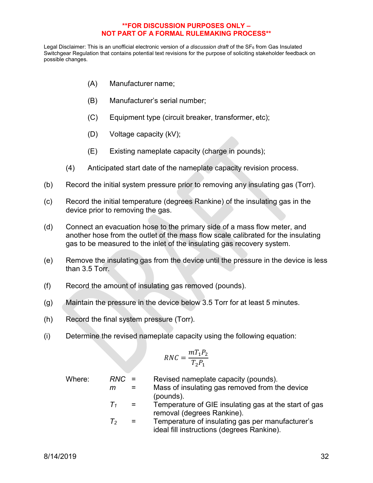Legal Disclaimer: This is an unofficial electronic version of *a discussion draft* of the SF<sub>6</sub> from Gas Insulated Switchgear Regulation that contains potential text revisions for the purpose of soliciting stakeholder feedback on possible changes.

- (A) Manufacturer name;
- (B) Manufacturer's serial number;
- (C) Equipment type (circuit breaker, transformer, etc);
- (D) Voltage capacity (kV);
- (E) Existing nameplate capacity (charge in pounds);
- (4) Anticipated start date of the nameplate capacity revision process.
- (b) Record the initial system pressure prior to removing any insulating gas (Torr).
- (c) Record the initial temperature (degrees Rankine) of the insulating gas in the device prior to removing the gas.
- (d) Connect an evacuation hose to the primary side of a mass flow meter, and another hose from the outlet of the mass flow scale calibrated for the insulating gas to be measured to the inlet of the insulating gas recovery system.
- (e) Remove the insulating gas from the device until the pressure in the device is less than 3.5 Torr.
- (f) Record the amount of insulating gas removed (pounds).
- (g) Maintain the pressure in the device below 3.5 Torr for at least 5 minutes.
- (h) Record the final system pressure (Torr).
- (i) Determine the revised nameplate capacity using the following equation:

$$
RNC = \frac{mT_1P_2}{T_2P_1}
$$

Where: *RNC* = Revised nameplate capacity (pounds). *m* = Mass of insulating gas removed from the device (pounds).  $T_1$  = Temperature of GIE insulating gas at the start of gas removal (degrees Rankine). *T2* = Temperature of insulating gas per manufacturer's ideal fill instructions (degrees Rankine).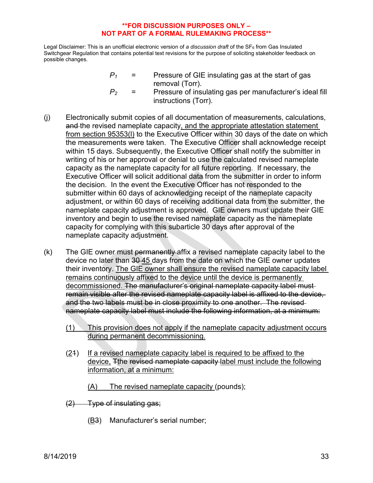Legal Disclaimer: This is an unofficial electronic version of *a discussion draft* of the SF<sub>6</sub> from Gas Insulated Switchgear Regulation that contains potential text revisions for the purpose of soliciting stakeholder feedback on possible changes.

> $P_1$  = Pressure of GIE insulating gas at the start of gas removal (Torr).

$$
P_2 = \text{Pressure of insulating gas per manufacturer's ideal fill} \\ \text{instructions (Torr).}
$$

- (j) Electronically submit copies of all documentation of measurements, calculations, and the revised nameplate capacity, and the appropriate attestation statement from section 95353(l) to the Executive Officer within 30 days of the date on which the measurements were taken. The Executive Officer shall acknowledge receipt within 15 days. Subsequently, the Executive Officer shall notify the submitter in writing of his or her approval or denial to use the calculated revised nameplate capacity as the nameplate capacity for all future reporting. If necessary, the Executive Officer will solicit additional data from the submitter in order to inform the decision. In the event the Executive Officer has not responded to the submitter within 60 days of acknowledging receipt of the nameplate capacity adjustment, or within 60 days of receiving additional data from the submitter, the nameplate capacity adjustment is approved. GIE owners must update their GIE inventory and begin to use the revised nameplate capacity as the nameplate capacity for complying with this subarticle 30 days after approval of the nameplate capacity adjustment.
- $(k)$  The GIE owner must permanently affix a revised nameplate capacity label to the device no later than 30 45 days from the date on which the GIE owner updates their inventory. The GIE owner shall ensure the revised nameplate capacity label remains continuously affixed to the device until the device is permanently decommissioned. The manufacturer's original nameplate capacity label mustremain visible after the revised nameplate capacity label is affixed to the device, and the two labels must be in close proximity to one another. The revised nameplate capacity label must include the following information, at a minimum:
	- (1) This provision does not apply if the nameplate capacity adjustment occurs during permanent decommissioning.
	- (21) If a revised nameplate capacity label is required to be affixed to the device, Tthe revised nameplate capacity label must include the following information, at a minimum:
		- (A) The revised nameplate capacity (pounds);
	- (2) Type of insulating gas;
		- (B3) Manufacturer's serial number;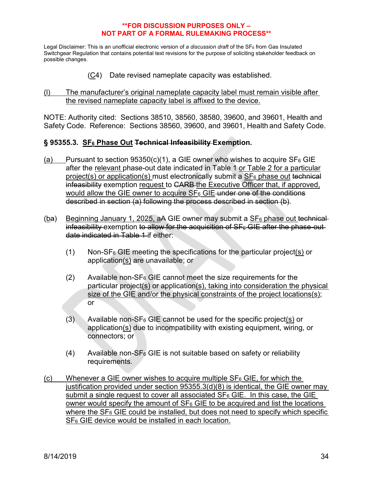Legal Disclaimer: This is an unofficial electronic version of *a discussion draft* of the SF<sub>6</sub> from Gas Insulated Switchgear Regulation that contains potential text revisions for the purpose of soliciting stakeholder feedback on possible changes.

(C4) Date revised nameplate capacity was established.

### (l) The manufacturer's original nameplate capacity label must remain visible after the revised nameplate capacity label is affixed to the device.

NOTE: Authority cited: Sections 38510, 38560, 38580, 39600, and 39601, Health and Safety Code. Reference: Sections 38560, 39600, and 39601, Health and Safety Code.

# **§ 95355.3. SF6 Phase Out Technical Infeasibility Exemption.**

- (a) Pursuant to section  $95350(c)(1)$ , a GIE owner who wishes to acquire SF<sub>6</sub> GIE after the relevant phase-out date indicated in Table 1 or Table 2 for a particular project(s) or application(s) must electronically submit a  $SF<sub>6</sub>$  phase out technical infeasibility exemption request to CARB the Executive Officer that, if approved, would allow the GIE owner to acquire SF<sub>6</sub> GIE under one of the conditions described in section (a) following the process described in section (b).
- $(ba)$  Beginning January 1, 2025, aA GIE owner may submit a SF<sub>6</sub> phase out technical infeasibility exemption to allow for the acquisition of  $SF<sub>6</sub> GE$  after the phase-outdate indicated in Table 1 if either:
	- $(1)$  Non-SF<sub>6</sub> GIE meeting the specifications for the particular project(s) or application(s) are unavailable; or
	- $(2)$  Available non-SF<sub>6</sub> GIE cannot meet the size requirements for the particular project(s) or application(s), taking into consideration the physical size of the GIE and/or the physical constraints of the project locations(s); or
	- $(3)$  Available non-SF<sub>6</sub> GIE cannot be used for the specific project(s) or application(s) due to incompatibility with existing equipment, wiring, or connectors; or
	- $(4)$  Available non-SF<sub>6</sub> GIE is not suitable based on safety or reliability requirements.
- (c) Whenever a GIE owner wishes to acquire multiple  $SF<sub>6</sub> GE$ , for which the justification provided under section 95355.3(d)(8) is identical, the GIE owner may submit a single request to cover all associated  $SF<sub>6</sub>$  GIE. In this case, the GIE owner would specify the amount of  $SF<sub>6</sub>$  GIE to be acquired and list the locations where the  $SF<sub>6</sub>$  GIE could be installed, but does not need to specify which specific SF<sub>6</sub> GIE device would be installed in each location.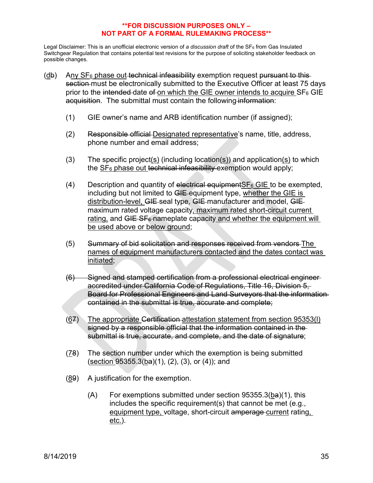- $(d)$  Any SF<sub>6</sub> phase out technical infeasibility exemption request pursuant to this section must be electronically submitted to the Executive Officer at least 75 days prior to the intended date of on which the GIE owner intends to acquire  $SF_6$  GIE acquisition. The submittal must contain the following information:
	- (1) GIE owner's name and ARB identification number (if assigned);
	- (2) Responsible official Designated representative's name, title, address, phone number and email address;
	- (3) The specific project(s) (including location(s)) and application(s) to which the  $SF<sub>6</sub>$  phase out technical infeasibility exemption would apply;
	- (4) Description and quantity of electrical equipment  $SF<sub>6</sub>$  GIE to be exempted, including but not limited to GIE-equipment type, whether the GIE is distribution-level, GIE-seal type, GIE-manufacturer and model, GIEmaximum rated voltage capacity, maximum rated short-circuit current rating, and  $GIE-SF<sub>6</sub>$ -nameplate capacity and whether the equipment will be used above or below ground;
	- (5) Summary of bid solicitation and responses received from vendors The names of equipment manufacturers contacted and the dates contact was initiated;
	- (6) Signed and stamped certification from a professional electrical engineer accredited under California Code of Regulations, Title 16, Division 5, Board for Professional Engineers and Land Surveyors that the information contained in the submittal is true, accurate and complete;
	- (67) The appropriate Certification attestation statement from section 95353(l) signed by a responsible official that the information contained in the submittal is true, accurate, and complete, and the date of signature;
	- (78) The section number under which the exemption is being submitted  $(\text{section } 95355.3(\text{ba})(1), (2), (3), \text{or } (4))$ ; and
	- (89) A justification for the exemption.
		- $(A)$  For exemptions submitted under section 95355.3(ba)(1), this includes the specific requirement(s) that cannot be met (e.g., equipment type, voltage, short-circuit amperage current rating, etc.).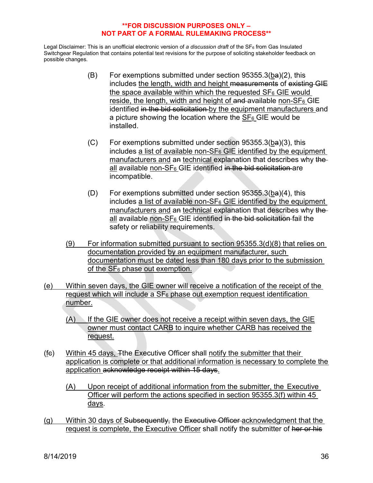- (B) For exemptions submitted under section 95355.3(ba)(2), this includes the length, width and height measurements of existing GIE the space available within which the requested  $SF<sub>6</sub> GE$  would reside, the length, width and height of and available non- $SF_6$  GIE identified in the bid solicitation by the equipment manufacturers and a picture showing the location where the  $SF_6$  GIE would be installed.
- (C) For exemptions submitted under section 95355.3(ba)(3), this includes a list of available non- $SF<sub>6</sub>$  GIE identified by the equipment manufacturers and an technical explanation that describes why the all available non- $SF_6$  GIE identified in the bid solicitation are incompatible.
- (D) For exemptions submitted under section  $95355.3(ba)(4)$ , this includes a list of available non- $SF_6$  GIE identified by the equipment manufacturers and an technical explanation that describes why the all available non-SF<sub>6</sub> GIE identified in the bid solicitation fail the safety or reliability requirements.
- (9) For information submitted pursuant to section 95355.3(d)(8) that relies on documentation provided by an equipment manufacturer, such documentation must be dated less than 180 days prior to the submission of the SF6 phase out exemption.
- (e) Within seven days, the GIE owner will receive a notification of the receipt of the request which will include a  $SF<sub>6</sub>$  phase out exemption request identification number.
	- $(A)$  If the GIE owner does not receive a receipt within seven days, the GIE owner must contact CARB to inquire whether CARB has received the request.
- (fc) Within 45 days, Tthe Executive Officer shall notify the submitter that their application is complete or that additional information is necessary to complete the application acknowledge receipt within 15 days.
	- (A) Upon receipt of additional information from the submitter, the Executive Officer will perform the actions specified in section 95355.3(f) within 45 days.
- (g) Within 30 days of Subsequently, the Executive Officer acknowledgment that the request is complete, the Executive Officer shall notify the submitter of her or his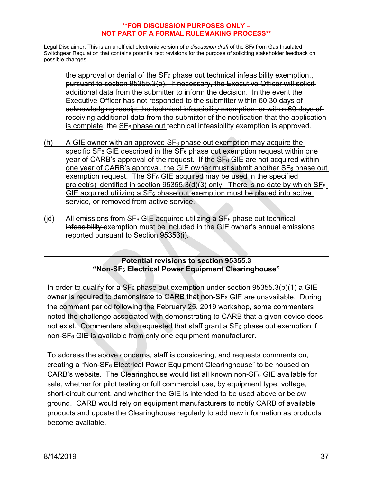Legal Disclaimer: This is an unofficial electronic version of *a discussion draft* of the SF<sub>6</sub> from Gas Insulated Switchgear Regulation that contains potential text revisions for the purpose of soliciting stakeholder feedback on possible changes.

the approval or denial of the  $SF_6$  phase out technical infeasibility exemption. pursuant to section 95355.3(b). If necessary, the Executive Officer will solicit additional data from the submitter to inform the decision. In the event the Executive Officer has not responded to the submitter within 60-30 days ofacknowledging receipt the technical infeasibility exemption, or within 60 days of receiving additional data from the submitter of the notification that the application is complete, the  $SF<sub>6</sub>$  phase out technical infeasibility exemption is approved.

- (h) A GIE owner with an approved  $SF_6$  phase out exemption may acquire the specific  $SF_6$  GIE described in the  $SF_6$  phase out exemption request within one year of CARB's approval of the request. If the  $SF<sub>6</sub> GE$  are not acquired within one year of CARB's approval, the GIE owner must submit another  $SF_6$  phase out exemption request. The  $SF<sub>6</sub>$  GIE acquired may be used in the specified project(s) identified in section  $95355.3(d)(3)$  only. There is no date by which  $SF_6$ GIE acquired utilizing a  $SF<sub>6</sub>$  phase out exemption must be placed into active service, or removed from active service.
- (id) All emissions from  $SF_6$  GIE acquired utilizing a  $SF_6$  phase out technicalinfeasibility exemption must be included in the GIE owner's annual emissions reported pursuant to Section 95353(i).

# **Potential revisions to section 95355.3 "Non-SF6 Electrical Power Equipment Clearinghouse"**

In order to qualify for a  $SF_6$  phase out exemption under section 95355.3(b)(1) a GIE owner is required to demonstrate to CARB that non- $SF<sub>6</sub>$  GIE are unavailable. During the comment period following the February 25, 2019 workshop, some commenters noted the challenge associated with demonstrating to CARB that a given device does not exist. Commenters also requested that staff grant a  $SF<sub>6</sub>$  phase out exemption if non-SF6 GIE is available from only one equipment manufacturer.

To address the above concerns, staff is considering, and requests comments on, creating a "Non-SF6 Electrical Power Equipment Clearinghouse" to be housed on CARB's website. The Clearinghouse would list all known non- $SF<sub>6</sub> GE$  available for sale, whether for pilot testing or full commercial use, by equipment type, voltage, short-circuit current, and whether the GIE is intended to be used above or below ground. CARB would rely on equipment manufacturers to notify CARB of available products and update the Clearinghouse regularly to add new information as products become available.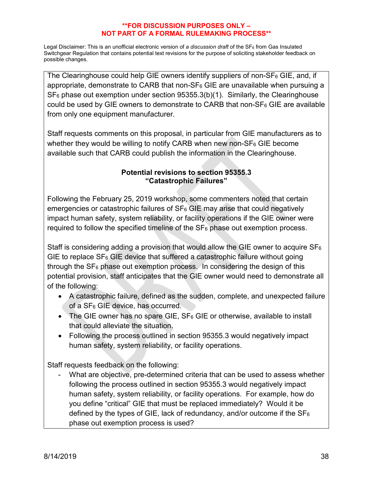Legal Disclaimer: This is an unofficial electronic version of *a discussion draft* of the SF6 from Gas Insulated Switchgear Regulation that contains potential text revisions for the purpose of soliciting stakeholder feedback on possible changes.

The Clearinghouse could help GIE owners identify suppliers of non- $SF<sub>6</sub>$  GIE, and, if appropriate, demonstrate to CARB that non- $SF<sub>6</sub>$  GIE are unavailable when pursuing a  $SF<sub>6</sub>$  phase out exemption under section 95355.3(b)(1). Similarly, the Clearinghouse could be used by GIE owners to demonstrate to CARB that non- $SF<sub>6</sub> GE$  are available from only one equipment manufacturer.

Staff requests comments on this proposal, in particular from GIE manufacturers as to whether they would be willing to notify CARB when new non- $SF<sub>6</sub> GE$  become available such that CARB could publish the information in the Clearinghouse.

# **Potential revisions to section 95355.3 "Catastrophic Failures"**

Following the February 25, 2019 workshop, some commenters noted that certain emergencies or catastrophic failures of  $SF<sub>6</sub> GE$  may arise that could negatively impact human safety, system reliability, or facility operations if the GIE owner were required to follow the specified timeline of the  $SF<sub>6</sub>$  phase out exemption process.

Staff is considering adding a provision that would allow the GIE owner to acquire  $SF_6$ GIE to replace  $SF_6$  GIE device that suffered a catastrophic failure without going through the  $SF<sub>6</sub>$  phase out exemption process. In considering the design of this potential provision, staff anticipates that the GIE owner would need to demonstrate all of the following:

- A catastrophic failure, defined as the sudden, complete, and unexpected failure of a SF6 GIE device, has occurred.
- The GIE owner has no spare GIE,  $SF_6$  GIE or otherwise, available to install that could alleviate the situation.
- Following the process outlined in section 95355.3 would negatively impact human safety, system reliability, or facility operations.

Staff requests feedback on the following:

What are objective, pre-determined criteria that can be used to assess whether following the process outlined in section 95355.3 would negatively impact human safety, system reliability, or facility operations. For example, how do you define "critical" GIE that must be replaced immediately? Would it be defined by the types of GIE, lack of redundancy, and/or outcome if the  $SF_6$ phase out exemption process is used?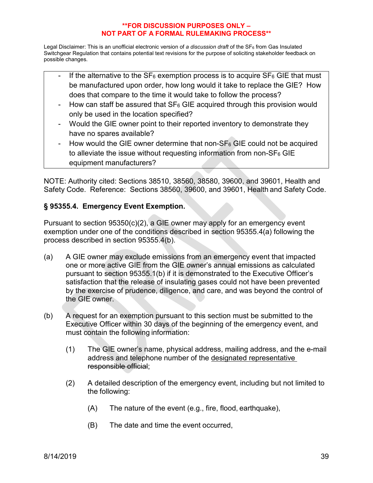Legal Disclaimer: This is an unofficial electronic version of *a discussion draft* of the SF<sub>6</sub> from Gas Insulated Switchgear Regulation that contains potential text revisions for the purpose of soliciting stakeholder feedback on possible changes.

- If the alternative to the  $SF_6$  exemption process is to acquire  $SF_6$  GIE that must be manufactured upon order, how long would it take to replace the GIE? How does that compare to the time it would take to follow the process?
- How can staff be assured that  $SF_6$  GIE acquired through this provision would only be used in the location specified?
- Would the GIE owner point to their reported inventory to demonstrate they have no spares available?
- How would the GIE owner determine that non- $SF<sub>6</sub>$  GIE could not be acquired to alleviate the issue without requesting information from non-SF6 GIE equipment manufacturers?

NOTE: Authority cited: Sections 38510, 38560, 38580, 39600, and 39601, Health and Safety Code. Reference: Sections 38560, 39600, and 39601, Health and Safety Code.

# **§ 95355.4. Emergency Event Exemption.**

Pursuant to section 95350(c)(2), a GIE owner may apply for an emergency event exemption under one of the conditions described in section 95355.4(a) following the process described in section 95355.4(b).

- (a) A GIE owner may exclude emissions from an emergency event that impacted one or more active GIE from the GIE owner's annual emissions as calculated pursuant to section 95355.1(b) if it is demonstrated to the Executive Officer's satisfaction that the release of insulating gases could not have been prevented by the exercise of prudence, diligence, and care, and was beyond the control of the GIE owner.
- (b) A request for an exemption pursuant to this section must be submitted to the Executive Officer within 30 days of the beginning of the emergency event, and must contain the following information:
	- (1) The GIE owner's name, physical address, mailing address, and the e-mail address and telephone number of the designated representative responsible official;
	- (2) A detailed description of the emergency event, including but not limited to the following:
		- (A) The nature of the event (e.g., fire, flood, earthquake),
		- (B) The date and time the event occurred,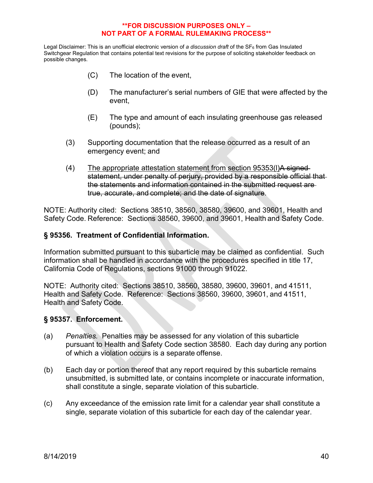Legal Disclaimer: This is an unofficial electronic version of *a discussion draft* of the SF<sub>6</sub> from Gas Insulated Switchgear Regulation that contains potential text revisions for the purpose of soliciting stakeholder feedback on possible changes.

- (C) The location of the event,
- (D) The manufacturer's serial numbers of GIE that were affected by the event,
- (E) The type and amount of each insulating greenhouse gas released (pounds);
- (3) Supporting documentation that the release occurred as a result of an emergency event; and
- (4) The appropriate attestation statement from section 95353(I)A signedstatement, under penalty of perjury, provided by a responsible official that the statements and information contained in the submitted request are true, accurate, and complete; and the date of signature.

NOTE: Authority cited: Sections 38510, 38560, 38580, 39600, and 39601, Health and Safety Code. Reference: Sections 38560, 39600, and 39601, Health and Safety Code.

## **§ 95356. Treatment of Confidential Information.**

Information submitted pursuant to this subarticle may be claimed as confidential. Such information shall be handled in accordance with the procedures specified in title 17, California Code of Regulations, sections 91000 through 91022.

NOTE: Authority cited: Sections 38510, 38560, 38580, 39600, 39601, and 41511, Health and Safety Code. Reference: Sections 38560, 39600, 39601, and 41511, Health and Safety Code.

## **§ 95357. Enforcement.**

- (a) *Penalties.* Penalties may be assessed for any violation of this subarticle pursuant to Health and Safety Code section 38580. Each day during any portion of which a violation occurs is a separate offense.
- (b) Each day or portion thereof that any report required by this subarticle remains unsubmitted, is submitted late, or contains incomplete or inaccurate information, shall constitute a single, separate violation of this subarticle.
- (c) Any exceedance of the emission rate limit for a calendar year shall constitute a single, separate violation of this subarticle for each day of the calendar year.